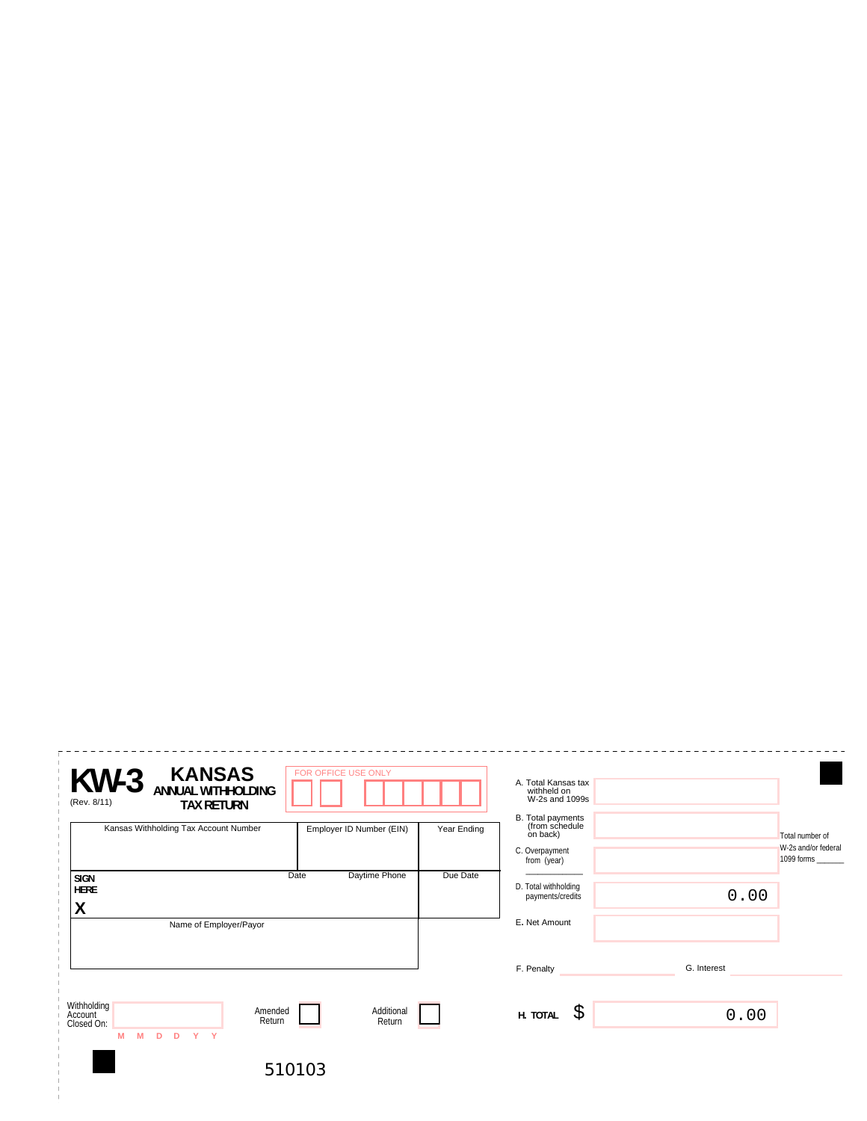| <b>KANSAS</b><br><b>KW-3</b><br><b>ANNUAL WITHHOLDING</b><br>(Rev. 8/11)<br><b>TAX RETURN</b> | FOR OFFICE USE ONLY      |             | A. Total Kansas tax<br>withheld on<br>W-2s and 1099s |             |                                   |
|-----------------------------------------------------------------------------------------------|--------------------------|-------------|------------------------------------------------------|-------------|-----------------------------------|
| Kansas Withholding Tax Account Number                                                         | Employer ID Number (EIN) | Year Ending | B. Total payments<br>(from schedule<br>on back)      |             | Total number of                   |
|                                                                                               |                          |             | C. Overpayment<br>from (year)                        |             | W-2s and/or federal<br>1099 forms |
| <b>SIGN</b><br><b>HERE</b><br>ν                                                               | Daytime Phone<br>Date    | Due Date    | D. Total withholding<br>payments/credits             | 0.00        |                                   |
| V<br>Name of Employer/Payor                                                                   |                          |             | E. Net Amount                                        |             |                                   |
|                                                                                               |                          |             | F. Penalty                                           | G. Interest |                                   |
| Withholding<br>Amended<br>Account<br>Return<br>Closed On:<br>M<br>M<br>Y Y<br>D<br>D          | Additional<br>Return     |             | \$<br>H. TOTAL                                       | 0.00        |                                   |
|                                                                                               | 510103                   |             |                                                      |             |                                   |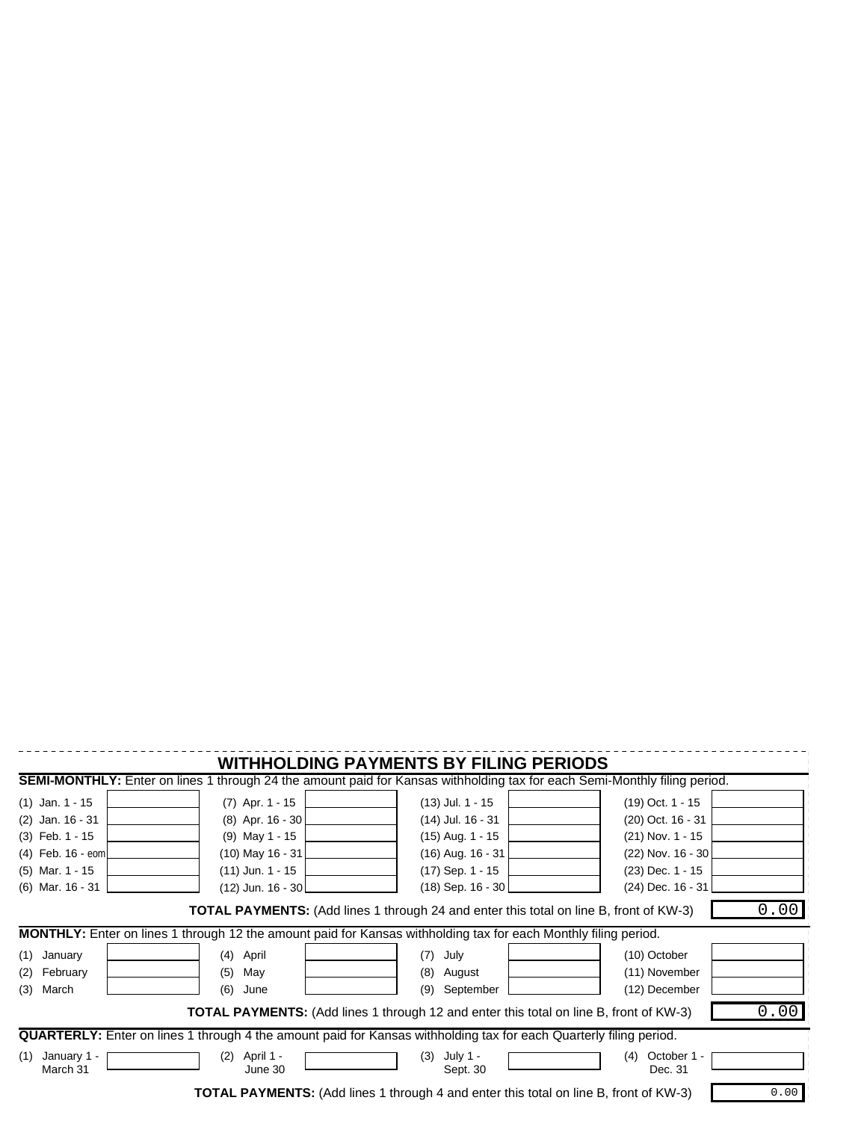| <b>WITHHOLDING PAYMENTS BY FILING PERIODS</b><br><b>SEMI-MONTHLY:</b> Enter on lines 1 through 24 the amount paid for Kansas withholding tax for each Semi-Monthly filing period.                |                                                                                                     |                                                                                                            |                                                                                                          |  |  |  |  |
|--------------------------------------------------------------------------------------------------------------------------------------------------------------------------------------------------|-----------------------------------------------------------------------------------------------------|------------------------------------------------------------------------------------------------------------|----------------------------------------------------------------------------------------------------------|--|--|--|--|
| $(1)$ Jan. 1 - 15<br>$(2)$ Jan. 16 - 31<br>$(3)$ Feb. 1 - 15<br>$(4)$ Feb. 16 - eom<br>$(5)$ Mar. 1 - 15                                                                                         | $(7)$ Apr. 1 - 15<br>(8) Apr. 16 - 30<br>$(9)$ May 1 - 15<br>$(10)$ May 16 - 31<br>(11) Jun. 1 - 15 | $(13)$ Jul. 1 - 15<br>(14) Jul. 16 - 31<br>$(15)$ Aug. 1 - 15<br>$(16)$ Aug. $16 - 31$<br>(17) Sep. 1 - 15 | $(19)$ Oct. 1 - 15<br>(20) Oct. 16 - 31<br>$(21)$ Nov. 1 - 15<br>(22) Nov. 16 - 30<br>$(23)$ Dec. 1 - 15 |  |  |  |  |
| $(12)$ Jun. $16 - 30$<br>$(18)$ Sep. 16 - 30<br>(24) Dec. 16 - 31<br>$(6)$ Mar. 16 - 31<br>0.00<br><b>TOTAL PAYMENTS:</b> (Add lines 1 through 24 and enter this total on line B, front of KW-3) |                                                                                                     |                                                                                                            |                                                                                                          |  |  |  |  |
| MONTHLY: Enter on lines 1 through 12 the amount paid for Kansas withholding tax for each Monthly filing period.                                                                                  |                                                                                                     |                                                                                                            |                                                                                                          |  |  |  |  |
| (1)<br>January<br>February<br>(2)<br>March<br>(3)                                                                                                                                                | (4) April<br>(5)<br>May<br>(6)<br>June                                                              | July<br>(7)<br>(8)<br>August<br>(9)<br>September                                                           | (10) October<br>(11) November<br>(12) December                                                           |  |  |  |  |
| 0.00<br><b>TOTAL PAYMENTS:</b> (Add lines 1 through 12 and enter this total on line B, front of KW-3)                                                                                            |                                                                                                     |                                                                                                            |                                                                                                          |  |  |  |  |
| <b>QUARTERLY:</b> Enter on lines 1 through 4 the amount paid for Kansas withholding tax for each Quarterly filing period.                                                                        |                                                                                                     |                                                                                                            |                                                                                                          |  |  |  |  |
| January 1 -<br>(1)<br>March 31                                                                                                                                                                   | April 1 -<br>(2)<br>June 30                                                                         | July 1 -<br>(3)<br>Sept. 30                                                                                | October 1 -<br>(4)<br>Dec. 31                                                                            |  |  |  |  |
| 0.00<br><b>TOTAL PAYMENTS:</b> (Add lines 1 through 4 and enter this total on line B, front of KW-3)                                                                                             |                                                                                                     |                                                                                                            |                                                                                                          |  |  |  |  |